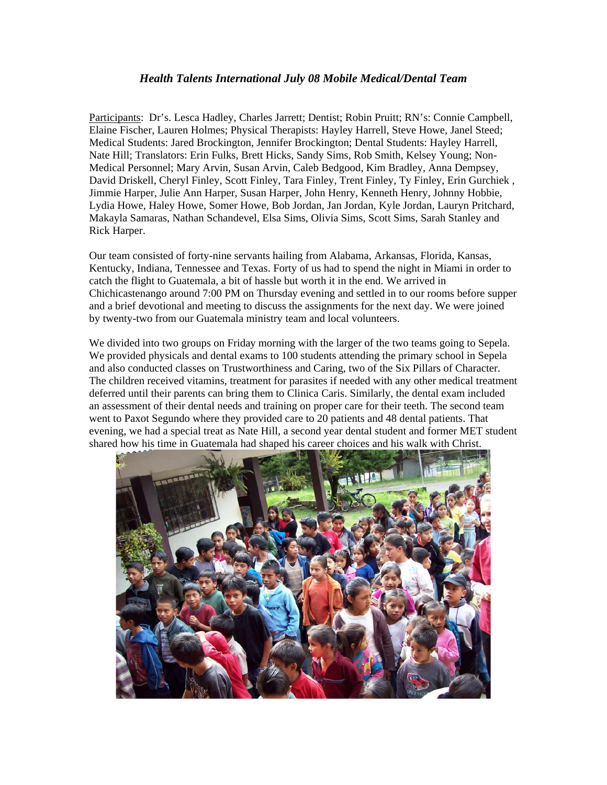## *Health Talents International July 08 Mobile Medical/Dental Team*

Participants: Dr's. Lesca Hadley, Charles Jarrett; Dentist; Robin Pruitt; RN's: Connie Campbell, Elaine Fischer, Lauren Holmes; Physical Therapists: Hayley Harrell, Steve Howe, Janel Steed; Medical Students: Jared Brockington, Jennifer Brockington; Dental Students: Hayley Harrell, Nate Hill; Translators: Erin Fulks, Brett Hicks, Sandy Sims, Rob Smith, Kelsey Young; Non-Medical Personnel; Mary Arvin, Susan Arvin, Caleb Bedgood, Kim Bradley, Anna Dempsey, David Driskell, Cheryl Finley, Scott Finley, Tara Finley, Trent Finley, Ty Finley, Erin Gurchiek , Jimmie Harper, Julie Ann Harper, Susan Harper, John Henry, Kenneth Henry, Johnny Hobbie, Lydia Howe, Haley Howe, Somer Howe, Bob Jordan, Jan Jordan, Kyle Jordan, Lauryn Pritchard, Makayla Samaras, Nathan Schandevel, Elsa Sims, Olivia Sims, Scott Sims, Sarah Stanley and Rick Harper.

Our team consisted of forty-nine servants hailing from Alabama, Arkansas, Florida, Kansas, Kentucky, Indiana, Tennessee and Texas. Forty of us had to spend the night in Miami in order to catch the flight to Guatemala, a bit of hassle but worth it in the end. We arrived in Chichicastenango around 7:00 PM on Thursday evening and settled in to our rooms before supper and a brief devotional and meeting to discuss the assignments for the next day. We were joined by twenty-two from our Guatemala ministry team and local volunteers.

We divided into two groups on Friday morning with the larger of the two teams going to Sepela. We provided physicals and dental exams to 100 students attending the primary school in Sepela and also conducted classes on Trustworthiness and Caring, two of the Six Pillars of Character. The children received vitamins, treatment for parasites if needed with any other medical treatment deferred until their parents can bring them to Clinica Caris. Similarly, the dental exam included an assessment of their dental needs and training on proper care for their teeth. The second team went to Paxot Segundo where they provided care to 20 patients and 48 dental patients. That evening, we had a special treat as Nate Hill, a second year dental student and former MET student shared how his time in Guatemala had shaped his career choices and his walk with Christ.

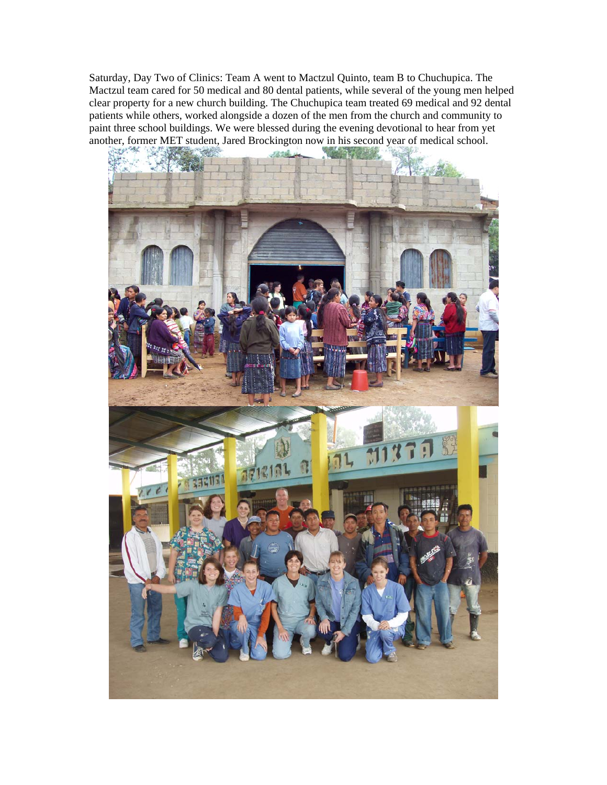Saturday, Day Two of Clinics: Team A went to Mactzul Quinto, team B to Chuchupica. The Mactzul team cared for 50 medical and 80 dental patients, while several of the young men helped clear property for a new church building. The Chuchupica team treated 69 medical and 92 dental patients while others, worked alongside a dozen of the men from the church and community to paint three school buildings. We were blessed during the evening devotional to hear from yet another, former MET student, Jared Brockington now in his second year of medical school.